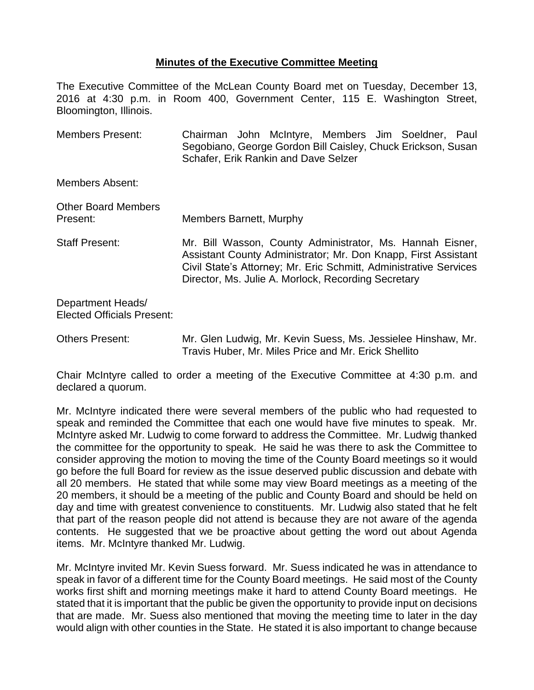## **Minutes of the Executive Committee Meeting**

The Executive Committee of the McLean County Board met on Tuesday, December 13, 2016 at 4:30 p.m. in Room 400, Government Center, 115 E. Washington Street, Bloomington, Illinois.

Members Present: Chairman John McIntyre, Members Jim Soeldner, Paul Segobiano, George Gordon Bill Caisley, Chuck Erickson, Susan Schafer, Erik Rankin and Dave Selzer

Members Absent:

| <b>Other Board Members</b><br>Present: | <b>Members Barnett, Murphy</b>                                                                                                                                                                                                                          |
|----------------------------------------|---------------------------------------------------------------------------------------------------------------------------------------------------------------------------------------------------------------------------------------------------------|
| <b>Staff Present:</b>                  | Mr. Bill Wasson, County Administrator, Ms. Hannah Eisner,<br>Assistant County Administrator; Mr. Don Knapp, First Assistant<br>Civil State's Attorney; Mr. Eric Schmitt, Administrative Services<br>Director, Ms. Julie A. Morlock, Recording Secretary |
| Denartment Headel                      |                                                                                                                                                                                                                                                         |

Department Heads/ Elected Officials Present:

Chair McIntyre called to order a meeting of the Executive Committee at 4:30 p.m. and declared a quorum.

Mr. McIntyre indicated there were several members of the public who had requested to speak and reminded the Committee that each one would have five minutes to speak. Mr. McIntyre asked Mr. Ludwig to come forward to address the Committee. Mr. Ludwig thanked the committee for the opportunity to speak. He said he was there to ask the Committee to consider approving the motion to moving the time of the County Board meetings so it would go before the full Board for review as the issue deserved public discussion and debate with all 20 members. He stated that while some may view Board meetings as a meeting of the 20 members, it should be a meeting of the public and County Board and should be held on day and time with greatest convenience to constituents. Mr. Ludwig also stated that he felt that part of the reason people did not attend is because they are not aware of the agenda contents. He suggested that we be proactive about getting the word out about Agenda items. Mr. McIntyre thanked Mr. Ludwig.

Mr. McIntyre invited Mr. Kevin Suess forward. Mr. Suess indicated he was in attendance to speak in favor of a different time for the County Board meetings. He said most of the County works first shift and morning meetings make it hard to attend County Board meetings. He stated that it is important that the public be given the opportunity to provide input on decisions that are made. Mr. Suess also mentioned that moving the meeting time to later in the day would align with other counties in the State. He stated it is also important to change because

Others Present: Mr. Glen Ludwig, Mr. Kevin Suess, Ms. Jessielee Hinshaw, Mr. Travis Huber, Mr. Miles Price and Mr. Erick Shellito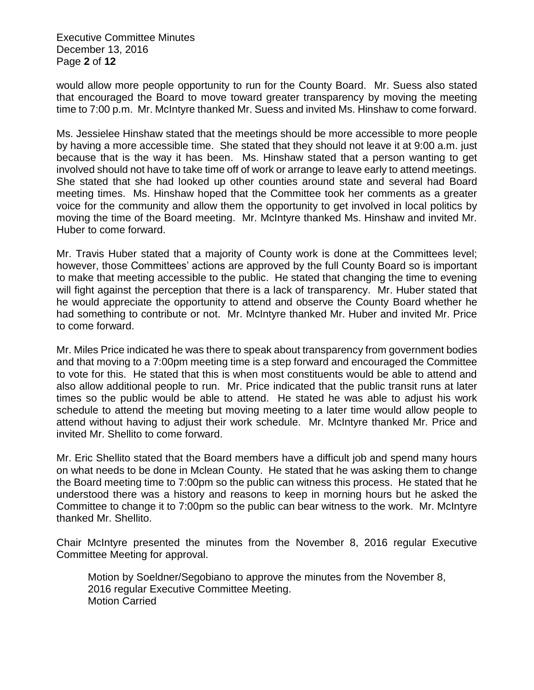Executive Committee Minutes December 13, 2016 Page **2** of **12**

would allow more people opportunity to run for the County Board. Mr. Suess also stated that encouraged the Board to move toward greater transparency by moving the meeting time to 7:00 p.m. Mr. McIntyre thanked Mr. Suess and invited Ms. Hinshaw to come forward.

Ms. Jessielee Hinshaw stated that the meetings should be more accessible to more people by having a more accessible time. She stated that they should not leave it at 9:00 a.m. just because that is the way it has been. Ms. Hinshaw stated that a person wanting to get involved should not have to take time off of work or arrange to leave early to attend meetings. She stated that she had looked up other counties around state and several had Board meeting times. Ms. Hinshaw hoped that the Committee took her comments as a greater voice for the community and allow them the opportunity to get involved in local politics by moving the time of the Board meeting. Mr. McIntyre thanked Ms. Hinshaw and invited Mr. Huber to come forward.

Mr. Travis Huber stated that a majority of County work is done at the Committees level; however, those Committees' actions are approved by the full County Board so is important to make that meeting accessible to the public. He stated that changing the time to evening will fight against the perception that there is a lack of transparency. Mr. Huber stated that he would appreciate the opportunity to attend and observe the County Board whether he had something to contribute or not. Mr. McIntyre thanked Mr. Huber and invited Mr. Price to come forward.

Mr. Miles Price indicated he was there to speak about transparency from government bodies and that moving to a 7:00pm meeting time is a step forward and encouraged the Committee to vote for this. He stated that this is when most constituents would be able to attend and also allow additional people to run. Mr. Price indicated that the public transit runs at later times so the public would be able to attend. He stated he was able to adjust his work schedule to attend the meeting but moving meeting to a later time would allow people to attend without having to adjust their work schedule. Mr. McIntyre thanked Mr. Price and invited Mr. Shellito to come forward.

Mr. Eric Shellito stated that the Board members have a difficult job and spend many hours on what needs to be done in Mclean County. He stated that he was asking them to change the Board meeting time to 7:00pm so the public can witness this process. He stated that he understood there was a history and reasons to keep in morning hours but he asked the Committee to change it to 7:00pm so the public can bear witness to the work. Mr. McIntyre thanked Mr. Shellito.

Chair McIntyre presented the minutes from the November 8, 2016 regular Executive Committee Meeting for approval.

Motion by Soeldner/Segobiano to approve the minutes from the November 8, 2016 regular Executive Committee Meeting. Motion Carried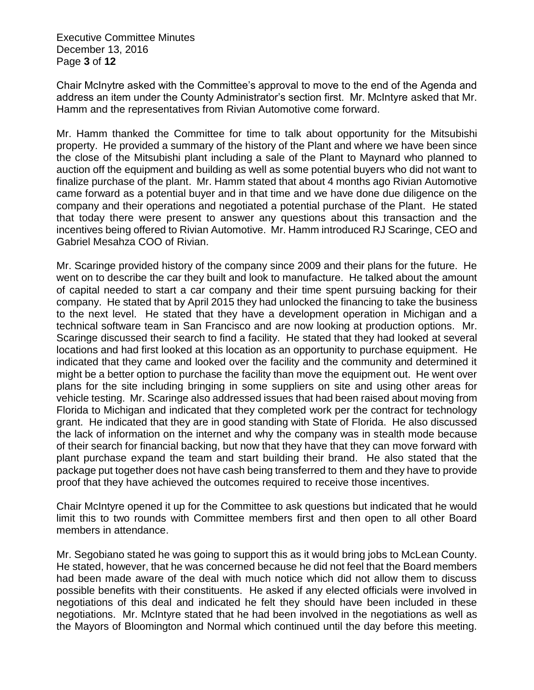Executive Committee Minutes December 13, 2016 Page **3** of **12**

Chair McInytre asked with the Committee's approval to move to the end of the Agenda and address an item under the County Administrator's section first. Mr. McIntyre asked that Mr. Hamm and the representatives from Rivian Automotive come forward.

Mr. Hamm thanked the Committee for time to talk about opportunity for the Mitsubishi property. He provided a summary of the history of the Plant and where we have been since the close of the Mitsubishi plant including a sale of the Plant to Maynard who planned to auction off the equipment and building as well as some potential buyers who did not want to finalize purchase of the plant. Mr. Hamm stated that about 4 months ago Rivian Automotive came forward as a potential buyer and in that time and we have done due diligence on the company and their operations and negotiated a potential purchase of the Plant. He stated that today there were present to answer any questions about this transaction and the incentives being offered to Rivian Automotive. Mr. Hamm introduced RJ Scaringe, CEO and Gabriel Mesahza COO of Rivian.

Mr. Scaringe provided history of the company since 2009 and their plans for the future. He went on to describe the car they built and look to manufacture. He talked about the amount of capital needed to start a car company and their time spent pursuing backing for their company. He stated that by April 2015 they had unlocked the financing to take the business to the next level. He stated that they have a development operation in Michigan and a technical software team in San Francisco and are now looking at production options. Mr. Scaringe discussed their search to find a facility. He stated that they had looked at several locations and had first looked at this location as an opportunity to purchase equipment. He indicated that they came and looked over the facility and the community and determined it might be a better option to purchase the facility than move the equipment out. He went over plans for the site including bringing in some suppliers on site and using other areas for vehicle testing. Mr. Scaringe also addressed issues that had been raised about moving from Florida to Michigan and indicated that they completed work per the contract for technology grant. He indicated that they are in good standing with State of Florida. He also discussed the lack of information on the internet and why the company was in stealth mode because of their search for financial backing, but now that they have that they can move forward with plant purchase expand the team and start building their brand. He also stated that the package put together does not have cash being transferred to them and they have to provide proof that they have achieved the outcomes required to receive those incentives.

Chair McIntyre opened it up for the Committee to ask questions but indicated that he would limit this to two rounds with Committee members first and then open to all other Board members in attendance.

Mr. Segobiano stated he was going to support this as it would bring jobs to McLean County. He stated, however, that he was concerned because he did not feel that the Board members had been made aware of the deal with much notice which did not allow them to discuss possible benefits with their constituents. He asked if any elected officials were involved in negotiations of this deal and indicated he felt they should have been included in these negotiations. Mr. McIntyre stated that he had been involved in the negotiations as well as the Mayors of Bloomington and Normal which continued until the day before this meeting.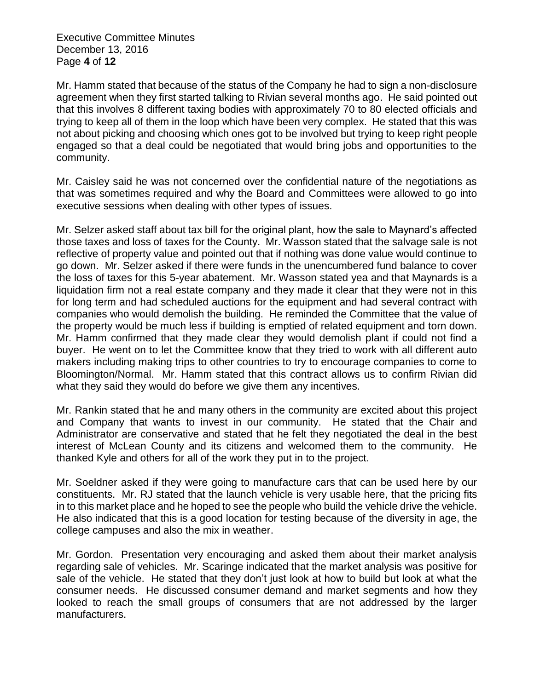Executive Committee Minutes December 13, 2016 Page **4** of **12**

Mr. Hamm stated that because of the status of the Company he had to sign a non-disclosure agreement when they first started talking to Rivian several months ago. He said pointed out that this involves 8 different taxing bodies with approximately 70 to 80 elected officials and trying to keep all of them in the loop which have been very complex. He stated that this was not about picking and choosing which ones got to be involved but trying to keep right people engaged so that a deal could be negotiated that would bring jobs and opportunities to the community.

Mr. Caisley said he was not concerned over the confidential nature of the negotiations as that was sometimes required and why the Board and Committees were allowed to go into executive sessions when dealing with other types of issues.

Mr. Selzer asked staff about tax bill for the original plant, how the sale to Maynard's affected those taxes and loss of taxes for the County. Mr. Wasson stated that the salvage sale is not reflective of property value and pointed out that if nothing was done value would continue to go down. Mr. Selzer asked if there were funds in the unencumbered fund balance to cover the loss of taxes for this 5-year abatement. Mr. Wasson stated yea and that Maynards is a liquidation firm not a real estate company and they made it clear that they were not in this for long term and had scheduled auctions for the equipment and had several contract with companies who would demolish the building. He reminded the Committee that the value of the property would be much less if building is emptied of related equipment and torn down. Mr. Hamm confirmed that they made clear they would demolish plant if could not find a buyer. He went on to let the Committee know that they tried to work with all different auto makers including making trips to other countries to try to encourage companies to come to Bloomington/Normal. Mr. Hamm stated that this contract allows us to confirm Rivian did what they said they would do before we give them any incentives.

Mr. Rankin stated that he and many others in the community are excited about this project and Company that wants to invest in our community. He stated that the Chair and Administrator are conservative and stated that he felt they negotiated the deal in the best interest of McLean County and its citizens and welcomed them to the community. He thanked Kyle and others for all of the work they put in to the project.

Mr. Soeldner asked if they were going to manufacture cars that can be used here by our constituents. Mr. RJ stated that the launch vehicle is very usable here, that the pricing fits in to this market place and he hoped to see the people who build the vehicle drive the vehicle. He also indicated that this is a good location for testing because of the diversity in age, the college campuses and also the mix in weather.

Mr. Gordon. Presentation very encouraging and asked them about their market analysis regarding sale of vehicles. Mr. Scaringe indicated that the market analysis was positive for sale of the vehicle. He stated that they don't just look at how to build but look at what the consumer needs. He discussed consumer demand and market segments and how they looked to reach the small groups of consumers that are not addressed by the larger manufacturers.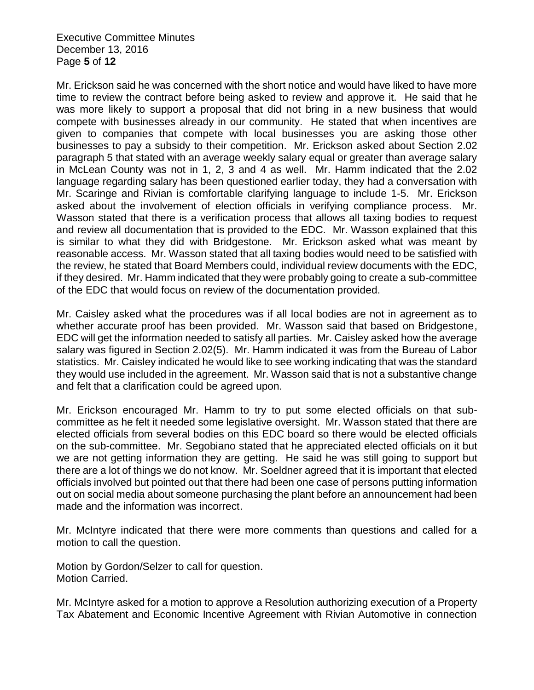Executive Committee Minutes December 13, 2016 Page **5** of **12**

Mr. Erickson said he was concerned with the short notice and would have liked to have more time to review the contract before being asked to review and approve it. He said that he was more likely to support a proposal that did not bring in a new business that would compete with businesses already in our community. He stated that when incentives are given to companies that compete with local businesses you are asking those other businesses to pay a subsidy to their competition. Mr. Erickson asked about Section 2.02 paragraph 5 that stated with an average weekly salary equal or greater than average salary in McLean County was not in 1, 2, 3 and 4 as well. Mr. Hamm indicated that the 2.02 language regarding salary has been questioned earlier today, they had a conversation with Mr. Scaringe and Rivian is comfortable clarifying language to include 1-5. Mr. Erickson asked about the involvement of election officials in verifying compliance process. Mr. Wasson stated that there is a verification process that allows all taxing bodies to request and review all documentation that is provided to the EDC. Mr. Wasson explained that this is similar to what they did with Bridgestone. Mr. Erickson asked what was meant by reasonable access. Mr. Wasson stated that all taxing bodies would need to be satisfied with the review, he stated that Board Members could, individual review documents with the EDC, if they desired. Mr. Hamm indicated that they were probably going to create a sub-committee of the EDC that would focus on review of the documentation provided.

Mr. Caisley asked what the procedures was if all local bodies are not in agreement as to whether accurate proof has been provided. Mr. Wasson said that based on Bridgestone, EDC will get the information needed to satisfy all parties. Mr. Caisley asked how the average salary was figured in Section 2.02(5). Mr. Hamm indicated it was from the Bureau of Labor statistics. Mr. Caisley indicated he would like to see working indicating that was the standard they would use included in the agreement. Mr. Wasson said that is not a substantive change and felt that a clarification could be agreed upon.

Mr. Erickson encouraged Mr. Hamm to try to put some elected officials on that subcommittee as he felt it needed some legislative oversight. Mr. Wasson stated that there are elected officials from several bodies on this EDC board so there would be elected officials on the sub-committee. Mr. Segobiano stated that he appreciated elected officials on it but we are not getting information they are getting. He said he was still going to support but there are a lot of things we do not know. Mr. Soeldner agreed that it is important that elected officials involved but pointed out that there had been one case of persons putting information out on social media about someone purchasing the plant before an announcement had been made and the information was incorrect.

Mr. McIntyre indicated that there were more comments than questions and called for a motion to call the question.

Motion by Gordon/Selzer to call for question. Motion Carried.

Mr. McIntyre asked for a motion to approve a Resolution authorizing execution of a Property Tax Abatement and Economic Incentive Agreement with Rivian Automotive in connection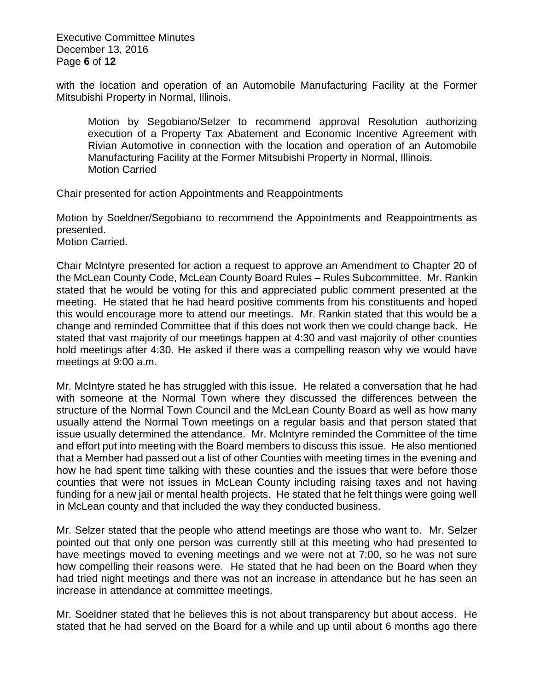Executive Committee Minutes December 13, 2016 Page **6** of **12**

with the location and operation of an Automobile Manufacturing Facility at the Former Mitsubishi Property in Normal, Illinois.

Motion by Segobiano/Selzer to recommend approval Resolution authorizing execution of a Property Tax Abatement and Economic Incentive Agreement with Rivian Automotive in connection with the location and operation of an Automobile Manufacturing Facility at the Former Mitsubishi Property in Normal, Illinois. Motion Carried

Chair presented for action Appointments and Reappointments

Motion by Soeldner/Segobiano to recommend the Appointments and Reappointments as presented.

Motion Carried.

Chair McIntyre presented for action a request to approve an Amendment to Chapter 20 of the McLean County Code, McLean County Board Rules – Rules Subcommittee. Mr. Rankin stated that he would be voting for this and appreciated public comment presented at the meeting. He stated that he had heard positive comments from his constituents and hoped this would encourage more to attend our meetings. Mr. Rankin stated that this would be a change and reminded Committee that if this does not work then we could change back. He stated that vast majority of our meetings happen at 4:30 and vast majority of other counties hold meetings after 4:30. He asked if there was a compelling reason why we would have meetings at 9:00 a.m.

Mr. McIntyre stated he has struggled with this issue. He related a conversation that he had with someone at the Normal Town where they discussed the differences between the structure of the Normal Town Council and the McLean County Board as well as how many usually attend the Normal Town meetings on a regular basis and that person stated that issue usually determined the attendance. Mr. McIntyre reminded the Committee of the time and effort put into meeting with the Board members to discuss this issue. He also mentioned that a Member had passed out a list of other Counties with meeting times in the evening and how he had spent time talking with these counties and the issues that were before those counties that were not issues in McLean County including raising taxes and not having funding for a new jail or mental health projects. He stated that he felt things were going well in McLean county and that included the way they conducted business.

Mr. Selzer stated that the people who attend meetings are those who want to. Mr. Selzer pointed out that only one person was currently still at this meeting who had presented to have meetings moved to evening meetings and we were not at 7:00, so he was not sure how compelling their reasons were. He stated that he had been on the Board when they had tried night meetings and there was not an increase in attendance but he has seen an increase in attendance at committee meetings.

Mr. Soeldner stated that he believes this is not about transparency but about access. He stated that he had served on the Board for a while and up until about 6 months ago there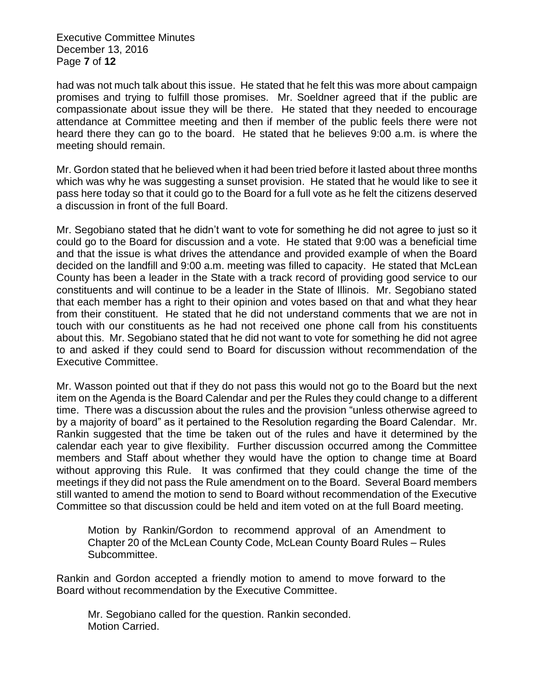Executive Committee Minutes December 13, 2016 Page **7** of **12**

had was not much talk about this issue. He stated that he felt this was more about campaign promises and trying to fulfill those promises. Mr. Soeldner agreed that if the public are compassionate about issue they will be there. He stated that they needed to encourage attendance at Committee meeting and then if member of the public feels there were not heard there they can go to the board. He stated that he believes 9:00 a.m. is where the meeting should remain.

Mr. Gordon stated that he believed when it had been tried before it lasted about three months which was why he was suggesting a sunset provision. He stated that he would like to see it pass here today so that it could go to the Board for a full vote as he felt the citizens deserved a discussion in front of the full Board.

Mr. Segobiano stated that he didn't want to vote for something he did not agree to just so it could go to the Board for discussion and a vote. He stated that 9:00 was a beneficial time and that the issue is what drives the attendance and provided example of when the Board decided on the landfill and 9:00 a.m. meeting was filled to capacity. He stated that McLean County has been a leader in the State with a track record of providing good service to our constituents and will continue to be a leader in the State of Illinois. Mr. Segobiano stated that each member has a right to their opinion and votes based on that and what they hear from their constituent. He stated that he did not understand comments that we are not in touch with our constituents as he had not received one phone call from his constituents about this. Mr. Segobiano stated that he did not want to vote for something he did not agree to and asked if they could send to Board for discussion without recommendation of the Executive Committee.

Mr. Wasson pointed out that if they do not pass this would not go to the Board but the next item on the Agenda is the Board Calendar and per the Rules they could change to a different time. There was a discussion about the rules and the provision "unless otherwise agreed to by a majority of board" as it pertained to the Resolution regarding the Board Calendar. Mr. Rankin suggested that the time be taken out of the rules and have it determined by the calendar each year to give flexibility. Further discussion occurred among the Committee members and Staff about whether they would have the option to change time at Board without approving this Rule. It was confirmed that they could change the time of the meetings if they did not pass the Rule amendment on to the Board. Several Board members still wanted to amend the motion to send to Board without recommendation of the Executive Committee so that discussion could be held and item voted on at the full Board meeting.

Motion by Rankin/Gordon to recommend approval of an Amendment to Chapter 20 of the McLean County Code, McLean County Board Rules – Rules Subcommittee.

Rankin and Gordon accepted a friendly motion to amend to move forward to the Board without recommendation by the Executive Committee.

Mr. Segobiano called for the question. Rankin seconded. Motion Carried.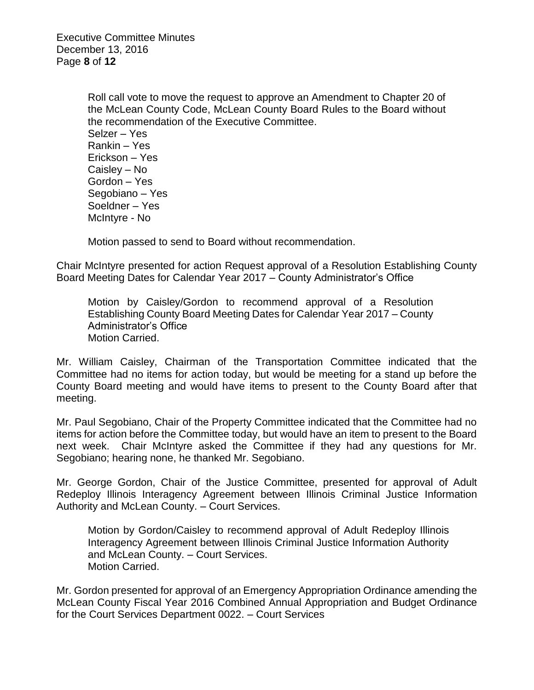Executive Committee Minutes December 13, 2016 Page **8** of **12**

> Roll call vote to move the request to approve an Amendment to Chapter 20 of the McLean County Code, McLean County Board Rules to the Board without the recommendation of the Executive Committee. Selzer – Yes Rankin – Yes Erickson – Yes Caisley – No Gordon – Yes Segobiano – Yes Soeldner – Yes McIntyre - No

Motion passed to send to Board without recommendation.

Chair McIntyre presented for action Request approval of a Resolution Establishing County Board Meeting Dates for Calendar Year 2017 – County Administrator's Office

Motion by Caisley/Gordon to recommend approval of a Resolution Establishing County Board Meeting Dates for Calendar Year 2017 – County Administrator's Office Motion Carried.

Mr. William Caisley, Chairman of the Transportation Committee indicated that the Committee had no items for action today, but would be meeting for a stand up before the County Board meeting and would have items to present to the County Board after that meeting.

Mr. Paul Segobiano, Chair of the Property Committee indicated that the Committee had no items for action before the Committee today, but would have an item to present to the Board next week. Chair McIntyre asked the Committee if they had any questions for Mr. Segobiano; hearing none, he thanked Mr. Segobiano.

Mr. George Gordon, Chair of the Justice Committee, presented for approval of Adult Redeploy Illinois Interagency Agreement between Illinois Criminal Justice Information Authority and McLean County. – Court Services.

Motion by Gordon/Caisley to recommend approval of Adult Redeploy Illinois Interagency Agreement between Illinois Criminal Justice Information Authority and McLean County. – Court Services. Motion Carried.

Mr. Gordon presented for approval of an Emergency Appropriation Ordinance amending the McLean County Fiscal Year 2016 Combined Annual Appropriation and Budget Ordinance for the Court Services Department 0022. – Court Services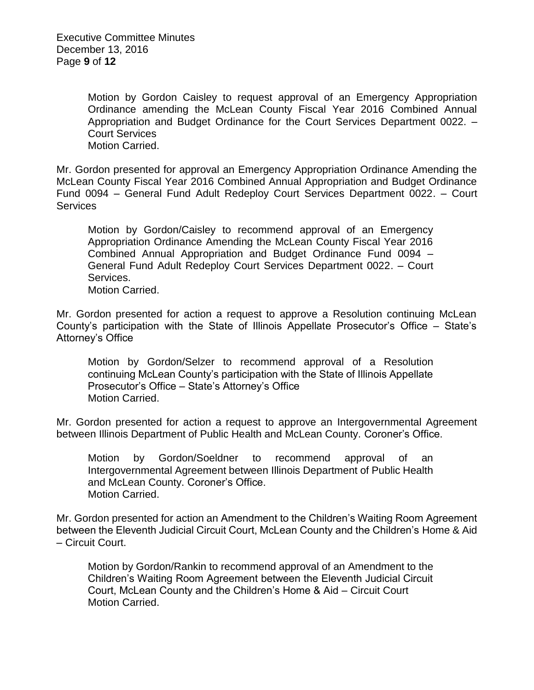Executive Committee Minutes December 13, 2016 Page **9** of **12**

> Motion by Gordon Caisley to request approval of an Emergency Appropriation Ordinance amending the McLean County Fiscal Year 2016 Combined Annual Appropriation and Budget Ordinance for the Court Services Department 0022. – Court Services Motion Carried.

Mr. Gordon presented for approval an Emergency Appropriation Ordinance Amending the McLean County Fiscal Year 2016 Combined Annual Appropriation and Budget Ordinance Fund 0094 – General Fund Adult Redeploy Court Services Department 0022. – Court **Services** 

Motion by Gordon/Caisley to recommend approval of an Emergency Appropriation Ordinance Amending the McLean County Fiscal Year 2016 Combined Annual Appropriation and Budget Ordinance Fund 0094 – General Fund Adult Redeploy Court Services Department 0022. – Court Services.

Motion Carried.

Mr. Gordon presented for action a request to approve a Resolution continuing McLean County's participation with the State of Illinois Appellate Prosecutor's Office – State's Attorney's Office

Motion by Gordon/Selzer to recommend approval of a Resolution continuing McLean County's participation with the State of Illinois Appellate Prosecutor's Office – State's Attorney's Office Motion Carried.

Mr. Gordon presented for action a request to approve an Intergovernmental Agreement between Illinois Department of Public Health and McLean County. Coroner's Office.

Motion by Gordon/Soeldner to recommend approval of an Intergovernmental Agreement between Illinois Department of Public Health and McLean County. Coroner's Office. Motion Carried.

Mr. Gordon presented for action an Amendment to the Children's Waiting Room Agreement between the Eleventh Judicial Circuit Court, McLean County and the Children's Home & Aid – Circuit Court.

Motion by Gordon/Rankin to recommend approval of an Amendment to the Children's Waiting Room Agreement between the Eleventh Judicial Circuit Court, McLean County and the Children's Home & Aid – Circuit Court Motion Carried.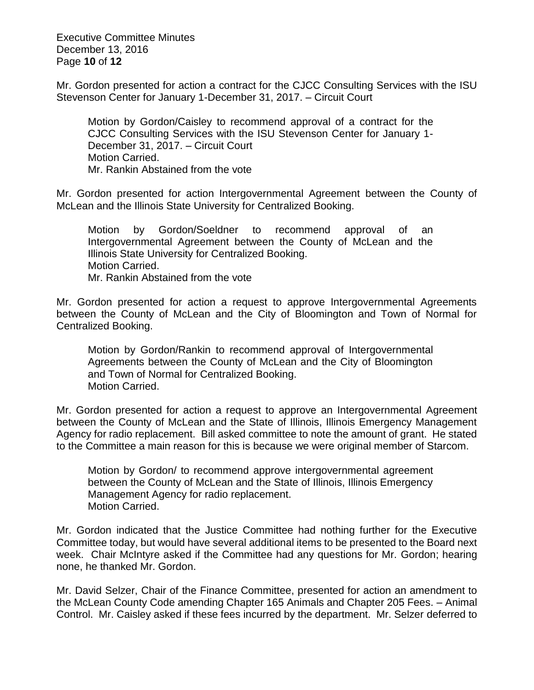Executive Committee Minutes December 13, 2016 Page **10** of **12**

Mr. Gordon presented for action a contract for the CJCC Consulting Services with the ISU Stevenson Center for January 1-December 31, 2017. – Circuit Court

Motion by Gordon/Caisley to recommend approval of a contract for the CJCC Consulting Services with the ISU Stevenson Center for January 1- December 31, 2017. – Circuit Court Motion Carried. Mr. Rankin Abstained from the vote

Mr. Gordon presented for action Intergovernmental Agreement between the County of McLean and the Illinois State University for Centralized Booking.

Motion by Gordon/Soeldner to recommend approval of an Intergovernmental Agreement between the County of McLean and the Illinois State University for Centralized Booking. Motion Carried. Mr. Rankin Abstained from the vote

Mr. Gordon presented for action a request to approve Intergovernmental Agreements between the County of McLean and the City of Bloomington and Town of Normal for Centralized Booking.

Motion by Gordon/Rankin to recommend approval of Intergovernmental Agreements between the County of McLean and the City of Bloomington and Town of Normal for Centralized Booking. Motion Carried.

Mr. Gordon presented for action a request to approve an Intergovernmental Agreement between the County of McLean and the State of Illinois, Illinois Emergency Management Agency for radio replacement. Bill asked committee to note the amount of grant. He stated to the Committee a main reason for this is because we were original member of Starcom.

Motion by Gordon/ to recommend approve intergovernmental agreement between the County of McLean and the State of Illinois, Illinois Emergency Management Agency for radio replacement. Motion Carried.

Mr. Gordon indicated that the Justice Committee had nothing further for the Executive Committee today, but would have several additional items to be presented to the Board next week. Chair McIntyre asked if the Committee had any questions for Mr. Gordon; hearing none, he thanked Mr. Gordon.

Mr. David Selzer, Chair of the Finance Committee, presented for action an amendment to the McLean County Code amending Chapter 165 Animals and Chapter 205 Fees. – Animal Control. Mr. Caisley asked if these fees incurred by the department. Mr. Selzer deferred to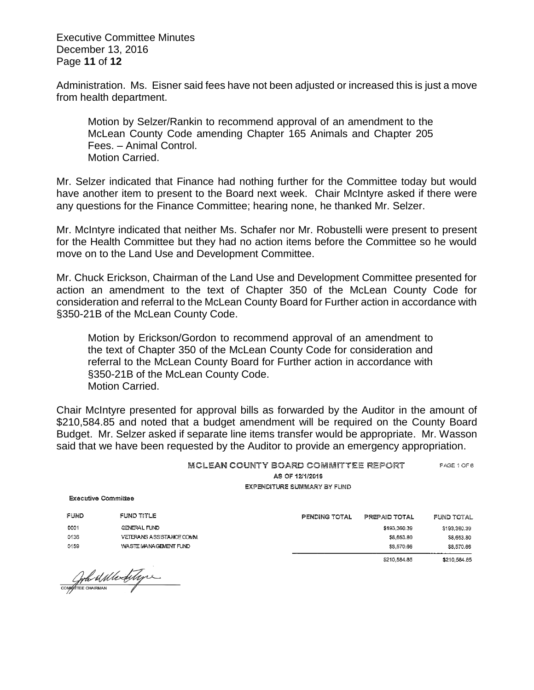Executive Committee Minutes December 13, 2016 Page **11** of **12**

Administration. Ms. Eisner said fees have not been adjusted or increased this is just a move from health department.

Motion by Selzer/Rankin to recommend approval of an amendment to the McLean County Code amending Chapter 165 Animals and Chapter 205 Fees. – Animal Control. Motion Carried.

Mr. Selzer indicated that Finance had nothing further for the Committee today but would have another item to present to the Board next week. Chair McIntyre asked if there were any questions for the Finance Committee; hearing none, he thanked Mr. Selzer.

Mr. McIntyre indicated that neither Ms. Schafer nor Mr. Robustelli were present to present for the Health Committee but they had no action items before the Committee so he would move on to the Land Use and Development Committee.

Mr. Chuck Erickson, Chairman of the Land Use and Development Committee presented for action an amendment to the text of Chapter 350 of the McLean County Code for consideration and referral to the McLean County Board for Further action in accordance with §350-21B of the McLean County Code.

Motion by Erickson/Gordon to recommend approval of an amendment to the text of Chapter 350 of the McLean County Code for consideration and referral to the McLean County Board for Further action in accordance with §350-21B of the McLean County Code. Motion Carried.

Chair McIntyre presented for approval bills as forwarded by the Auditor in the amount of \$210,584.85 and noted that a budget amendment will be required on the County Board Budget. Mr. Selzer asked if separate line items transfer would be appropriate. Mr. Wasson said that we have been requested by the Auditor to provide an emergency appropriation.

| MCLEAN COUNTY BOARD COMMITTEE REPORT | PAGE 1 OF 6 |
|--------------------------------------|-------------|
| AS OF 12/1/2016                      |             |
| EXPENDITURE SUMMARY BY FUND          |             |

| FUND | FUND TITLE               |
|------|--------------------------|
| 0001 | GENERAL FUND             |
| 0136 | VETERANS ASSISTANCE COMM |
| 0159 | WASTE MANAGEMENT FUND    |

| PENDING TOTAL | PREPAID TOTAL | FUND TOTAL   |
|---------------|---------------|--------------|
|               | \$193,360.39  | \$193,360.39 |
|               | \$8,653.80    | \$8,653,80   |
|               | \$8,570.66    | \$8,570.66   |
|               | \$210,584.85  | \$210,584.85 |

Confirme continued the fittype